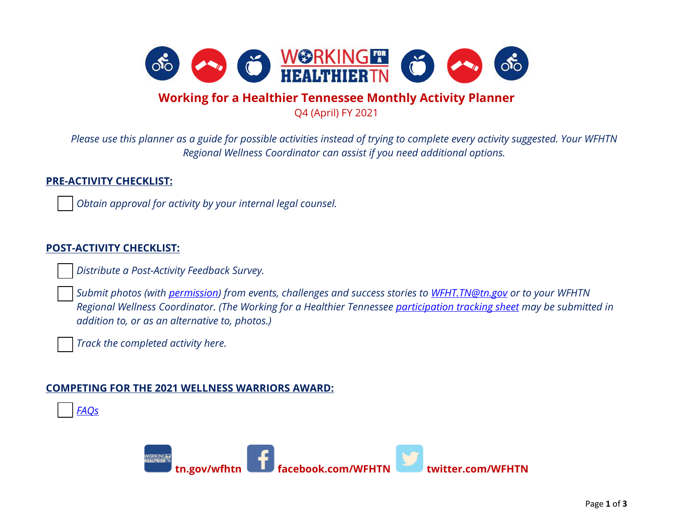

## **Working for a Healthier Tennessee Monthly Activity Planner**

Q4 (April) FY 2021

*Please use this planner as a guide for possible activities instead of trying to complete every activity suggested. Your WFHTN Regional Wellness Coordinator can assist if you need additional options.*

## **PRE-ACTIVITY CHECKLIST:**

*Obtain approval for activity by your internal legal counsel.* 

## **POST-ACTIVITY CHECKLIST:**

*Distribute a Post-Activity Feedback Survey.*

 *Submit photos (with [permission\)](https://www.tn.gov/content/dam/tn/wfhtn/documents/WFHTN%20Photo%20Waiver%20Multi.pdf) from events, challenges and success stories to [WFHT.TN@tn.gov](mailto:WFHT.TN@tn.gov) or to your WFHTN Regional Wellness Coordinator. (The Working for a Healthier Tennessee [participation tracking sheet](https://www.tn.gov/content/dam/tn/wfhtn/documents/WFHT%20Participation%20Tracking%20Sheet.pdf) may be submitted in addition to, or as an alternative to, photos.)* 

*Track the completed activity here.* 

## **COMPETING FOR THE 2021 WELLNESS WARRIORS AWARD:**



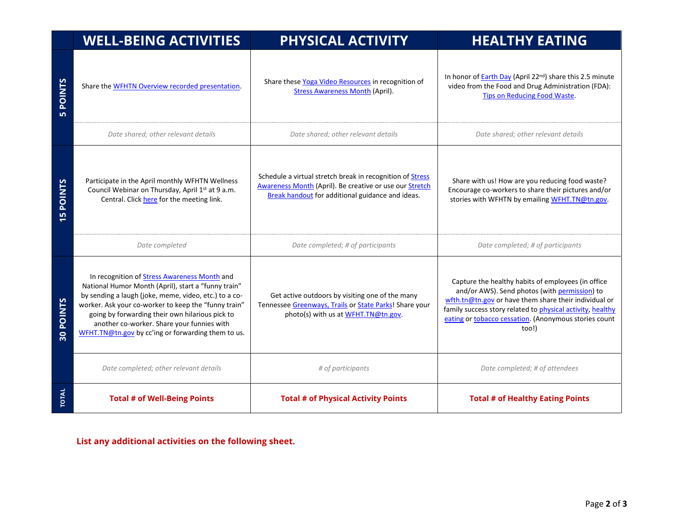|                | <b>WELL-BEING ACTIVITIES</b>                                                                                                                                                                                                                                                                                                                                                | PHYSICAL ACTIVITY                                                                                                                                                               | <b>HEALTHY EATING</b>                                                                                                                                                                                                                                                                        |
|----------------|-----------------------------------------------------------------------------------------------------------------------------------------------------------------------------------------------------------------------------------------------------------------------------------------------------------------------------------------------------------------------------|---------------------------------------------------------------------------------------------------------------------------------------------------------------------------------|----------------------------------------------------------------------------------------------------------------------------------------------------------------------------------------------------------------------------------------------------------------------------------------------|
| <b>POINTS</b>  | Share the WFHTN Overview recorded presentation.                                                                                                                                                                                                                                                                                                                             | Share these Yoga Video Resources in recognition of<br><b>Stress Awareness Month (April).</b>                                                                                    | In honor of <b>Earth Day</b> (April 22 <sup>nd</sup> ) share this 2.5 minute<br>video from the Food and Drug Administration (FDA):<br><b>Tips on Reducing Food Waste.</b>                                                                                                                    |
|                | Date shared; other relevant details                                                                                                                                                                                                                                                                                                                                         | Date shared; other relevant details                                                                                                                                             | Date shared; other relevant details                                                                                                                                                                                                                                                          |
| <b>SPOINTS</b> | Participate in the April monthly WFHTN Wellness<br>Council Webinar on Thursday, April 1st at 9 a.m.<br>Central. Click here for the meeting link.                                                                                                                                                                                                                            | Schedule a virtual stretch break in recognition of <b>Stress</b><br>Awareness Month (April). Be creative or use our Stretch<br>Break handout for additional guidance and ideas. | Share with us! How are you reducing food waste?<br>Encourage co-workers to share their pictures and/or<br>stories with WFHTN by emailing WFHT.TN@tn.gov.                                                                                                                                     |
|                | Date completed                                                                                                                                                                                                                                                                                                                                                              | Date completed; # of participants                                                                                                                                               | Date completed; # of participants                                                                                                                                                                                                                                                            |
| 30 POINTS      | In recognition of Stress Awareness Month and<br>National Humor Month (April), start a "funny train"<br>by sending a laugh (joke, meme, video, etc.) to a co-<br>worker. Ask your co-worker to keep the "funny train"<br>going by forwarding their own hilarious pick to<br>another co-worker. Share your funnies with<br>WFHT.TN@tn.gov by cc'ing or forwarding them to us. | Get active outdoors by visiting one of the many<br>Tennessee Greenways, Trails or State Parks! Share your<br>photo(s) with us at WFHT.TN@tn.gov.                                | Capture the healthy habits of employees (in office<br>and/or AWS). Send photos (with permission) to<br>wfth.tn@tn.gov or have them share their individual or<br>family success story related to physical activity, healthy<br>eating or tobacco cessation. (Anonymous stories count<br>too!) |
|                | Date completed; other relevant details                                                                                                                                                                                                                                                                                                                                      | # of participants                                                                                                                                                               | Date completed; # of attendees                                                                                                                                                                                                                                                               |
| <b>TOTAL</b>   | <b>Total # of Well-Being Points</b>                                                                                                                                                                                                                                                                                                                                         | <b>Total # of Physical Activity Points</b>                                                                                                                                      | <b>Total # of Healthy Eating Points</b>                                                                                                                                                                                                                                                      |

**List any additional activities on the following sheet.**